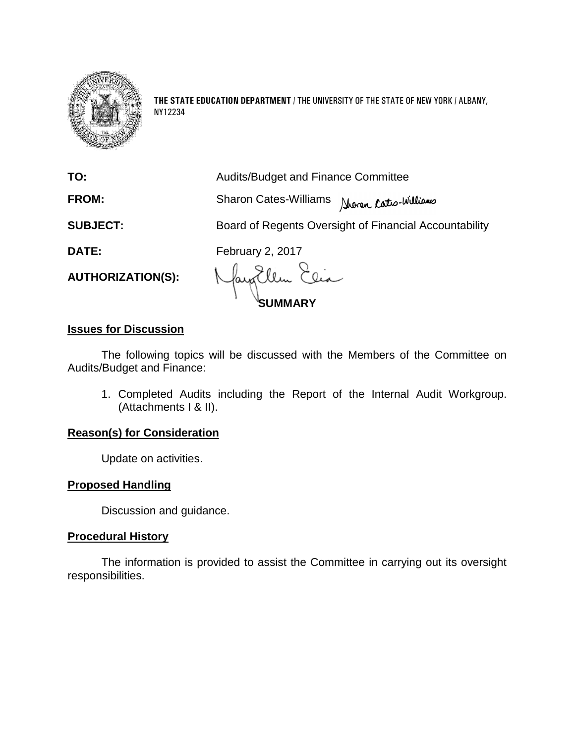

**THE STATE EDUCATION DEPARTMENT** / THE UNIVERSITY OF THE STATE OF NEW YORK / ALBANY, NY12234

|                          | <b>JMMARY</b>                                          |
|--------------------------|--------------------------------------------------------|
| <b>AUTHORIZATION(S):</b> | May Ellen Elia                                         |
| <b>DATE:</b>             | <b>February 2, 2017</b>                                |
| <b>SUBJECT:</b>          | Board of Regents Oversight of Financial Accountability |
| <b>FROM:</b>             | <b>Sharon Cates-Williams</b><br>Shoran Cates-Williams  |
| TO:                      | <b>Audits/Budget and Finance Committee</b>             |

## **Issues for Discussion**

The following topics will be discussed with the Members of the Committee on Audits/Budget and Finance:

1. Completed Audits including the Report of the Internal Audit Workgroup. (Attachments I & II).

#### **Reason(s) for Consideration**

Update on activities.

#### **Proposed Handling**

Discussion and guidance.

#### **Procedural History**

The information is provided to assist the Committee in carrying out its oversight responsibilities.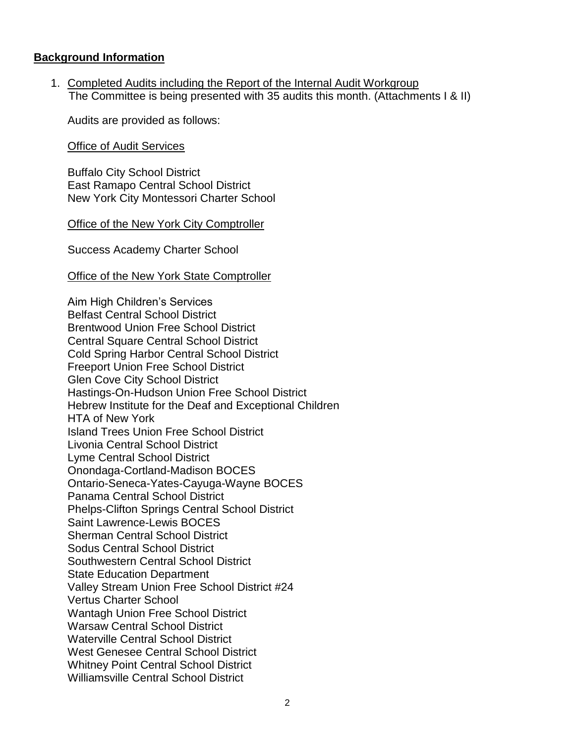#### **Background Information**

1. Completed Audits including the Report of the Internal Audit Workgroup The Committee is being presented with 35 audits this month. (Attachments I & II)

Audits are provided as follows:

Office of Audit Services

Buffalo City School District East Ramapo Central School District New York City Montessori Charter School

#### Office of the New York City Comptroller

Success Academy Charter School

#### Office of the New York State Comptroller

Aim High Children's Services Belfast Central School District Brentwood Union Free School District Central Square Central School District Cold Spring Harbor Central School District Freeport Union Free School District Glen Cove City School District Hastings-On-Hudson Union Free School District Hebrew Institute for the Deaf and Exceptional Children HTA of New York Island Trees Union Free School District Livonia Central School District Lyme Central School District Onondaga-Cortland-Madison BOCES Ontario-Seneca-Yates-Cayuga-Wayne BOCES Panama Central School District Phelps-Clifton Springs Central School District Saint Lawrence-Lewis BOCES Sherman Central School District Sodus Central School District Southwestern Central School District State Education Department Valley Stream Union Free School District #24 Vertus Charter School Wantagh Union Free School District Warsaw Central School District Waterville Central School District West Genesee Central School District Whitney Point Central School District Williamsville Central School District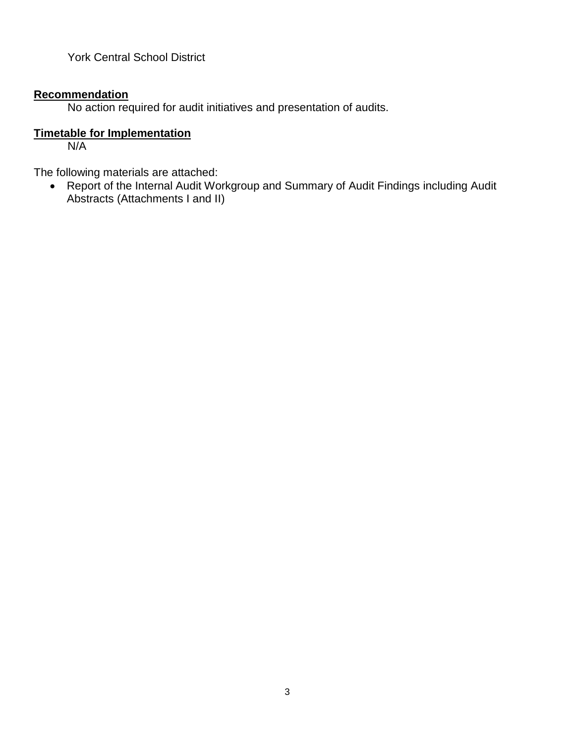York Central School District

## **Recommendation**

No action required for audit initiatives and presentation of audits.

## **Timetable for Implementation**

N/A

The following materials are attached:

• Report of the Internal Audit Workgroup and Summary of Audit Findings including Audit Abstracts (Attachments I and II)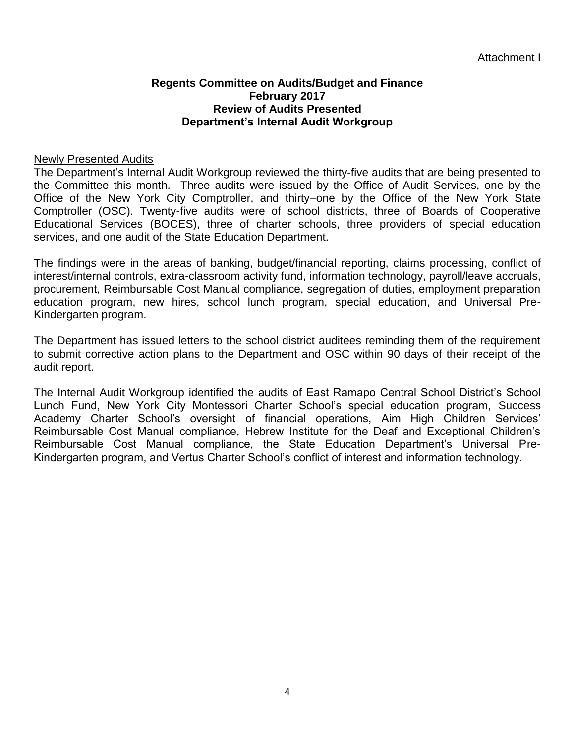#### **Regents Committee on Audits/Budget and Finance February 2017 Review of Audits Presented Department's Internal Audit Workgroup**

#### Newly Presented Audits

The Department's Internal Audit Workgroup reviewed the thirty-five audits that are being presented to the Committee this month. Three audits were issued by the Office of Audit Services, one by the Office of the New York City Comptroller, and thirty–one by the Office of the New York State Comptroller (OSC). Twenty-five audits were of school districts, three of Boards of Cooperative Educational Services (BOCES), three of charter schools, three providers of special education services, and one audit of the State Education Department.

The findings were in the areas of banking, budget/financial reporting, claims processing, conflict of interest/internal controls, extra-classroom activity fund, information technology, payroll/leave accruals, procurement, Reimbursable Cost Manual compliance, segregation of duties, employment preparation education program, new hires, school lunch program, special education, and Universal Pre-Kindergarten program.

The Department has issued letters to the school district auditees reminding them of the requirement to submit corrective action plans to the Department and OSC within 90 days of their receipt of the audit report.

The Internal Audit Workgroup identified the audits of East Ramapo Central School District's School Lunch Fund, New York City Montessori Charter School's special education program, Success Academy Charter School's oversight of financial operations, Aim High Children Services' Reimbursable Cost Manual compliance, Hebrew Institute for the Deaf and Exceptional Children's Reimbursable Cost Manual compliance, the State Education Department's Universal Pre-Kindergarten program, and Vertus Charter School's conflict of interest and information technology.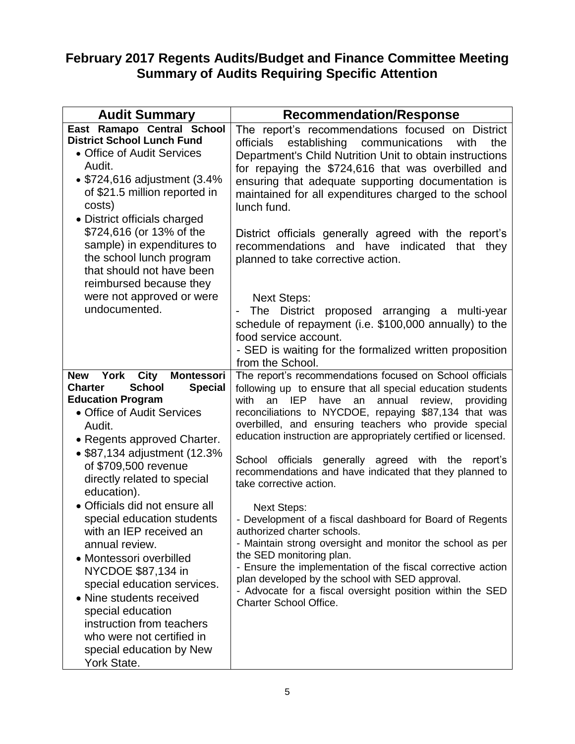# **February 2017 Regents Audits/Budget and Finance Committee Meeting Summary of Audits Requiring Specific Attention**

| <b>Audit Summary</b>                                                                                                                                                                                                                                                                                                                                                                                                                                                                                                                                                                                                                                                                      | <b>Recommendation/Response</b>                                                                                                                                                                                                                                                                                                                                                                                                                                                                                                                                                                                                                                                                                                                                                                                                                                                                                                                                      |
|-------------------------------------------------------------------------------------------------------------------------------------------------------------------------------------------------------------------------------------------------------------------------------------------------------------------------------------------------------------------------------------------------------------------------------------------------------------------------------------------------------------------------------------------------------------------------------------------------------------------------------------------------------------------------------------------|---------------------------------------------------------------------------------------------------------------------------------------------------------------------------------------------------------------------------------------------------------------------------------------------------------------------------------------------------------------------------------------------------------------------------------------------------------------------------------------------------------------------------------------------------------------------------------------------------------------------------------------------------------------------------------------------------------------------------------------------------------------------------------------------------------------------------------------------------------------------------------------------------------------------------------------------------------------------|
| East Ramapo Central School<br><b>District School Lunch Fund</b><br>• Office of Audit Services<br>Audit.<br>• \$724,616 adjustment (3.4%<br>of \$21.5 million reported in<br>costs)<br>• District officials charged<br>\$724,616 (or 13% of the<br>sample) in expenditures to<br>the school lunch program<br>that should not have been<br>reimbursed because they<br>were not approved or were<br>undocumented.                                                                                                                                                                                                                                                                            | The report's recommendations focused on District<br>establishing communications<br>officials<br>with<br>the<br>Department's Child Nutrition Unit to obtain instructions<br>for repaying the \$724,616 that was overbilled and<br>ensuring that adequate supporting documentation is<br>maintained for all expenditures charged to the school<br>lunch fund.<br>District officials generally agreed with the report's<br>recommendations and have indicated<br>that they<br>planned to take corrective action.<br><b>Next Steps:</b><br>The District proposed arranging a multi-year<br>schedule of repayment (i.e. \$100,000 annually) to the<br>food service account.<br>- SED is waiting for the formalized written proposition<br>from the School.                                                                                                                                                                                                               |
| <b>York</b><br><b>Montessori</b><br><b>City</b><br><b>New</b><br><b>Special</b><br><b>School</b><br><b>Charter</b><br><b>Education Program</b><br>• Office of Audit Services<br>Audit.<br>• Regents approved Charter.<br>• \$87,134 adjustment (12.3%<br>of \$709,500 revenue<br>directly related to special<br>education).<br>Officials did not ensure all<br>$\bullet$<br>special education students<br>with an IEP received an<br>annual review.<br>• Montessori overbilled<br>NYCDOE \$87,134 in<br>special education services.<br>• Nine students received<br>special education<br>instruction from teachers<br>who were not certified in<br>special education by New<br>York State. | The report's recommendations focused on School officials<br>following up to ensure that all special education students<br>with<br>an<br><b>IEP</b><br>have<br>annual<br>review,<br>an<br>providing<br>reconciliations to NYCDOE, repaying \$87,134 that was<br>overbilled, and ensuring teachers who provide special<br>education instruction are appropriately certified or licensed.<br>officials generally agreed with the<br>School<br>report's<br>recommendations and have indicated that they planned to<br>take corrective action.<br><b>Next Steps:</b><br>- Development of a fiscal dashboard for Board of Regents<br>authorized charter schools.<br>- Maintain strong oversight and monitor the school as per<br>the SED monitoring plan.<br>- Ensure the implementation of the fiscal corrective action<br>plan developed by the school with SED approval.<br>- Advocate for a fiscal oversight position within the SED<br><b>Charter School Office.</b> |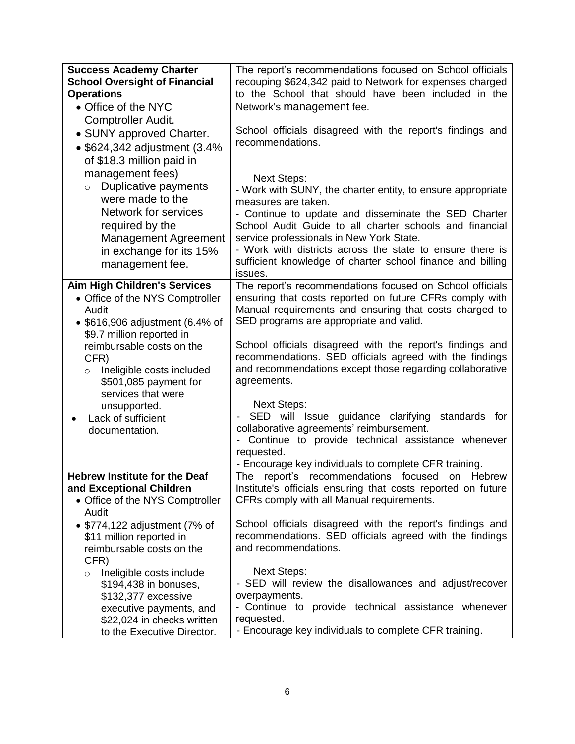| <b>Success Academy Charter</b><br><b>School Oversight of Financial</b><br><b>Operations</b><br>• Office of the NYC                                                                                                                                                                                                                  | The report's recommendations focused on School officials<br>recouping \$624,342 paid to Network for expenses charged<br>to the School that should have been included in the<br>Network's management fee.                                                                                                                                                                                                                                                                                                                                                                                                                                                                           |
|-------------------------------------------------------------------------------------------------------------------------------------------------------------------------------------------------------------------------------------------------------------------------------------------------------------------------------------|------------------------------------------------------------------------------------------------------------------------------------------------------------------------------------------------------------------------------------------------------------------------------------------------------------------------------------------------------------------------------------------------------------------------------------------------------------------------------------------------------------------------------------------------------------------------------------------------------------------------------------------------------------------------------------|
| Comptroller Audit.<br>• SUNY approved Charter.<br>• \$624,342 adjustment (3.4%<br>of \$18.3 million paid in                                                                                                                                                                                                                         | School officials disagreed with the report's findings and<br>recommendations.                                                                                                                                                                                                                                                                                                                                                                                                                                                                                                                                                                                                      |
| management fees)<br>Duplicative payments<br>$\circ$<br>were made to the<br><b>Network for services</b><br>required by the<br><b>Management Agreement</b><br>in exchange for its 15%<br>management fee.                                                                                                                              | <b>Next Steps:</b><br>- Work with SUNY, the charter entity, to ensure appropriate<br>measures are taken.<br>- Continue to update and disseminate the SED Charter<br>School Audit Guide to all charter schools and financial<br>service professionals in New York State.<br>- Work with districts across the state to ensure there is<br>sufficient knowledge of charter school finance and billing<br>issues.                                                                                                                                                                                                                                                                      |
| <b>Aim High Children's Services</b><br>• Office of the NYS Comptroller<br>Audit<br>• \$616,906 adjustment (6.4% of<br>\$9.7 million reported in<br>reimbursable costs on the<br>CFR)<br>Ineligible costs included<br>$\circ$<br>\$501,085 payment for<br>services that were<br>unsupported.<br>Lack of sufficient<br>documentation. | The report's recommendations focused on School officials<br>ensuring that costs reported on future CFRs comply with<br>Manual requirements and ensuring that costs charged to<br>SED programs are appropriate and valid.<br>School officials disagreed with the report's findings and<br>recommendations. SED officials agreed with the findings<br>and recommendations except those regarding collaborative<br>agreements.<br><b>Next Steps:</b><br>SED will Issue guidance clarifying<br>standards for<br>collaborative agreements' reimbursement.<br>- Continue to provide technical assistance whenever<br>requested.<br>- Encourage key individuals to complete CFR training. |
| <b>Hebrew Institute for the Deaf</b><br>and Exceptional Children<br>• Office of the NYS Comptroller<br>Audit<br>• \$774,122 adjustment (7% of                                                                                                                                                                                       | report's recommendations focused<br>Hebrew<br>The<br>on<br>Institute's officials ensuring that costs reported on future<br>CFRs comply with all Manual requirements.<br>School officials disagreed with the report's findings and                                                                                                                                                                                                                                                                                                                                                                                                                                                  |
| \$11 million reported in<br>reimbursable costs on the<br>CFR)<br>Ineligible costs include<br>$\circ$<br>\$194,438 in bonuses,<br>\$132,377 excessive<br>executive payments, and<br>\$22,024 in checks written<br>to the Executive Director.                                                                                         | recommendations. SED officials agreed with the findings<br>and recommendations.<br><b>Next Steps:</b><br>- SED will review the disallowances and adjust/recover<br>overpayments.<br>- Continue to provide technical assistance whenever<br>requested.<br>- Encourage key individuals to complete CFR training.                                                                                                                                                                                                                                                                                                                                                                     |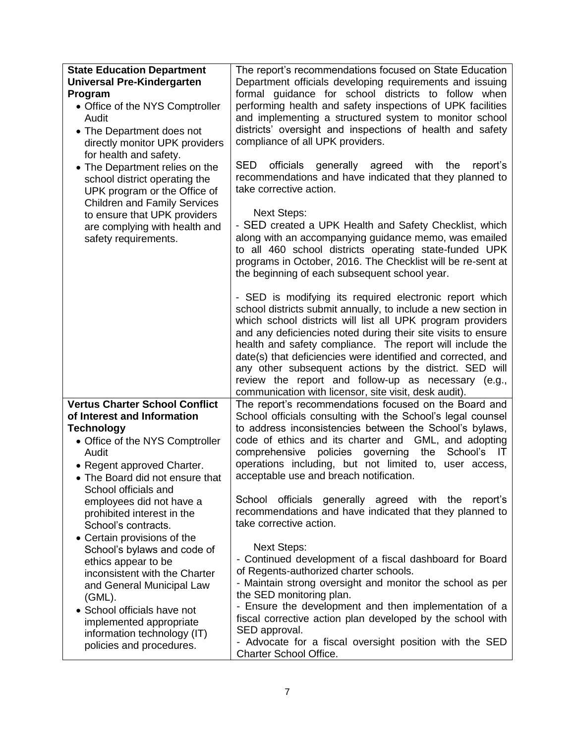| <b>State Education Department</b>                                                                                                                             | The report's recommendations focused on State Education                                                                                                                                                                                                                                                                                                                                                                                                                                                                                                        |
|---------------------------------------------------------------------------------------------------------------------------------------------------------------|----------------------------------------------------------------------------------------------------------------------------------------------------------------------------------------------------------------------------------------------------------------------------------------------------------------------------------------------------------------------------------------------------------------------------------------------------------------------------------------------------------------------------------------------------------------|
| <b>Universal Pre-Kindergarten</b>                                                                                                                             | Department officials developing requirements and issuing                                                                                                                                                                                                                                                                                                                                                                                                                                                                                                       |
| Program                                                                                                                                                       | formal guidance for school districts to follow when                                                                                                                                                                                                                                                                                                                                                                                                                                                                                                            |
| • Office of the NYS Comptroller                                                                                                                               | performing health and safety inspections of UPK facilities                                                                                                                                                                                                                                                                                                                                                                                                                                                                                                     |
| Audit                                                                                                                                                         | and implementing a structured system to monitor school                                                                                                                                                                                                                                                                                                                                                                                                                                                                                                         |
| • The Department does not                                                                                                                                     | districts' oversight and inspections of health and safety                                                                                                                                                                                                                                                                                                                                                                                                                                                                                                      |
| directly monitor UPK providers                                                                                                                                | compliance of all UPK providers.                                                                                                                                                                                                                                                                                                                                                                                                                                                                                                                               |
| for health and safety.                                                                                                                                        |                                                                                                                                                                                                                                                                                                                                                                                                                                                                                                                                                                |
| • The Department relies on the<br>school district operating the<br>UPK program or the Office of<br><b>Children and Family Services</b>                        | <b>SED</b><br>generally<br>with<br>officials<br>agreed<br>the<br>report's<br>recommendations and have indicated that they planned to<br>take corrective action.                                                                                                                                                                                                                                                                                                                                                                                                |
| to ensure that UPK providers<br>are complying with health and<br>safety requirements.                                                                         | <b>Next Steps:</b><br>- SED created a UPK Health and Safety Checklist, which<br>along with an accompanying guidance memo, was emailed<br>to all 460 school districts operating state-funded UPK<br>programs in October, 2016. The Checklist will be re-sent at<br>the beginning of each subsequent school year.                                                                                                                                                                                                                                                |
|                                                                                                                                                               | - SED is modifying its required electronic report which<br>school districts submit annually, to include a new section in<br>which school districts will list all UPK program providers<br>and any deficiencies noted during their site visits to ensure<br>health and safety compliance. The report will include the<br>date(s) that deficiencies were identified and corrected, and<br>any other subsequent actions by the district. SED will<br>review the report and follow-up as necessary (e.g.,<br>communication with licensor, site visit, desk audit). |
| <b>Vertus Charter School Conflict</b>                                                                                                                         | The report's recommendations focused on the Board and                                                                                                                                                                                                                                                                                                                                                                                                                                                                                                          |
| of Interest and Information<br><b>Technology</b><br>• Office of the NYS Comptroller<br>Audit<br>• Regent approved Charter.<br>• The Board did not ensure that | School officials consulting with the School's legal counsel<br>to address inconsistencies between the School's bylaws,<br>code of ethics and its charter and GML, and adopting<br>policies governing the<br>School's<br>comprehensive<br>$\overline{\mathsf{I}}$<br>operations including, but not limited to, user access,<br>acceptable use and breach notification.                                                                                                                                                                                          |
| School officials and<br>employees did not have a<br>prohibited interest in the<br>School's contracts.<br>• Certain provisions of the                          | officials<br>generally<br>agreed with the<br>School<br>report's<br>recommendations and have indicated that they planned to<br>take corrective action.                                                                                                                                                                                                                                                                                                                                                                                                          |
| School's bylaws and code of                                                                                                                                   | <b>Next Steps:</b>                                                                                                                                                                                                                                                                                                                                                                                                                                                                                                                                             |
| ethics appear to be                                                                                                                                           | - Continued development of a fiscal dashboard for Board                                                                                                                                                                                                                                                                                                                                                                                                                                                                                                        |
| inconsistent with the Charter                                                                                                                                 | of Regents-authorized charter schools.                                                                                                                                                                                                                                                                                                                                                                                                                                                                                                                         |
| and General Municipal Law                                                                                                                                     | - Maintain strong oversight and monitor the school as per                                                                                                                                                                                                                                                                                                                                                                                                                                                                                                      |
| $(GML)$ .                                                                                                                                                     | the SED monitoring plan.                                                                                                                                                                                                                                                                                                                                                                                                                                                                                                                                       |
| • School officials have not                                                                                                                                   | - Ensure the development and then implementation of a                                                                                                                                                                                                                                                                                                                                                                                                                                                                                                          |
| implemented appropriate                                                                                                                                       | fiscal corrective action plan developed by the school with                                                                                                                                                                                                                                                                                                                                                                                                                                                                                                     |
| information technology (IT)                                                                                                                                   | SED approval.                                                                                                                                                                                                                                                                                                                                                                                                                                                                                                                                                  |
| policies and procedures.                                                                                                                                      | - Advocate for a fiscal oversight position with the SED                                                                                                                                                                                                                                                                                                                                                                                                                                                                                                        |
|                                                                                                                                                               | Charter School Office.                                                                                                                                                                                                                                                                                                                                                                                                                                                                                                                                         |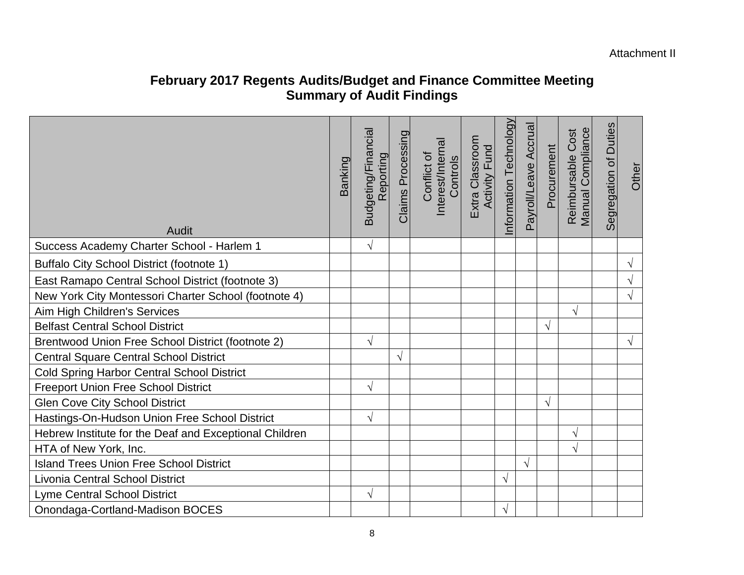Attachment II

## **February 2017 Regents Audits/Budget and Finance Committee Meeting Summary of Audit Findings**

| <b>Audit</b>                                           | Banking | Budgeting/Financial<br>Reporting | Claims Processing | Interest/Internal<br>Conflict of<br>Controls | Extra Classroom<br>Activity Fund | nformation Technology | Payroll/Leave Accrual | Procurement | Manual Compliance<br>Cost<br>Reimbursable | Segregation of Duties | Other      |
|--------------------------------------------------------|---------|----------------------------------|-------------------|----------------------------------------------|----------------------------------|-----------------------|-----------------------|-------------|-------------------------------------------|-----------------------|------------|
| Success Academy Charter School - Harlem 1              |         | $\sqrt{}$                        |                   |                                              |                                  |                       |                       |             |                                           |                       |            |
| Buffalo City School District (footnote 1)              |         |                                  |                   |                                              |                                  |                       |                       |             |                                           |                       | $\sqrt{}$  |
| East Ramapo Central School District (footnote 3)       |         |                                  |                   |                                              |                                  |                       |                       |             |                                           |                       | $\sqrt{ }$ |
| New York City Montessori Charter School (footnote 4)   |         |                                  |                   |                                              |                                  |                       |                       |             |                                           |                       | $\sqrt{}$  |
| Aim High Children's Services                           |         |                                  |                   |                                              |                                  |                       |                       |             | V                                         |                       |            |
| <b>Belfast Central School District</b>                 |         |                                  |                   |                                              |                                  |                       |                       |             |                                           |                       |            |
| Brentwood Union Free School District (footnote 2)      |         | $\sqrt{}$                        |                   |                                              |                                  |                       |                       |             |                                           |                       | $\sqrt{ }$ |
| <b>Central Square Central School District</b>          |         |                                  | V                 |                                              |                                  |                       |                       |             |                                           |                       |            |
| <b>Cold Spring Harbor Central School District</b>      |         |                                  |                   |                                              |                                  |                       |                       |             |                                           |                       |            |
| <b>Freeport Union Free School District</b>             |         | V                                |                   |                                              |                                  |                       |                       |             |                                           |                       |            |
| <b>Glen Cove City School District</b>                  |         |                                  |                   |                                              |                                  |                       |                       | $\sqrt{ }$  |                                           |                       |            |
| Hastings-On-Hudson Union Free School District          |         | V                                |                   |                                              |                                  |                       |                       |             |                                           |                       |            |
| Hebrew Institute for the Deaf and Exceptional Children |         |                                  |                   |                                              |                                  |                       |                       |             | $\sqrt{}$                                 |                       |            |
| HTA of New York, Inc.                                  |         |                                  |                   |                                              |                                  |                       |                       |             | $\sqrt{ }$                                |                       |            |
| <b>Island Trees Union Free School District</b>         |         |                                  |                   |                                              |                                  |                       | V                     |             |                                           |                       |            |
| <b>Livonia Central School District</b>                 |         |                                  |                   |                                              |                                  | $\sqrt{ }$            |                       |             |                                           |                       |            |
| <b>Lyme Central School District</b>                    |         | √                                |                   |                                              |                                  |                       |                       |             |                                           |                       |            |
| Onondaga-Cortland-Madison BOCES                        |         |                                  |                   |                                              |                                  | $\sqrt{}$             |                       |             |                                           |                       |            |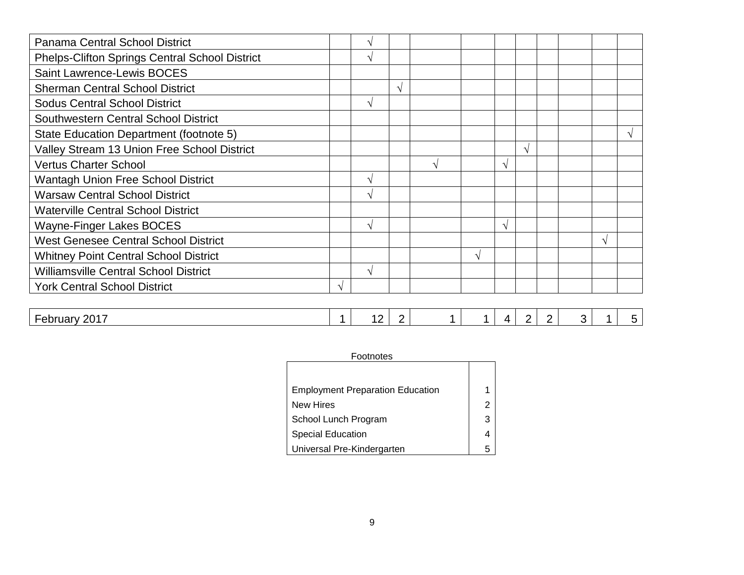|   | $\mathcal{N}$ |            |   |               |            |  |   |  |
|---|---------------|------------|---|---------------|------------|--|---|--|
|   |               |            |   |               |            |  |   |  |
|   |               | $\sqrt{ }$ |   |               |            |  |   |  |
|   | $\mathcal{N}$ |            |   |               |            |  |   |  |
|   |               |            |   |               |            |  |   |  |
|   |               |            |   |               |            |  |   |  |
|   |               |            |   |               | $\sqrt{ }$ |  |   |  |
|   |               |            |   | $\mathcal{N}$ |            |  |   |  |
|   | $\mathcal{N}$ |            |   |               |            |  |   |  |
|   | $\mathcal{N}$ |            |   |               |            |  |   |  |
|   |               |            |   |               |            |  |   |  |
|   | $\mathcal{N}$ |            |   | $\mathcal{N}$ |            |  |   |  |
|   |               |            |   |               |            |  | N |  |
|   |               |            | N |               |            |  |   |  |
|   | $\mathcal{N}$ |            |   |               |            |  |   |  |
| V |               |            |   |               |            |  |   |  |
|   |               |            |   |               |            |  |   |  |

| .0017<br>_<br>nhri<br>∴ JUI Udi v<br>∠∪ ⊑<br>. .<br>. .<br>_ |
|--------------------------------------------------------------|
|--------------------------------------------------------------|

| Footnotes                               |  |  |
|-----------------------------------------|--|--|
|                                         |  |  |
| <b>Employment Preparation Education</b> |  |  |
| <b>New Hires</b>                        |  |  |
| School Lunch Program                    |  |  |
| Special Education                       |  |  |
| Universal Pre-Kindergarten              |  |  |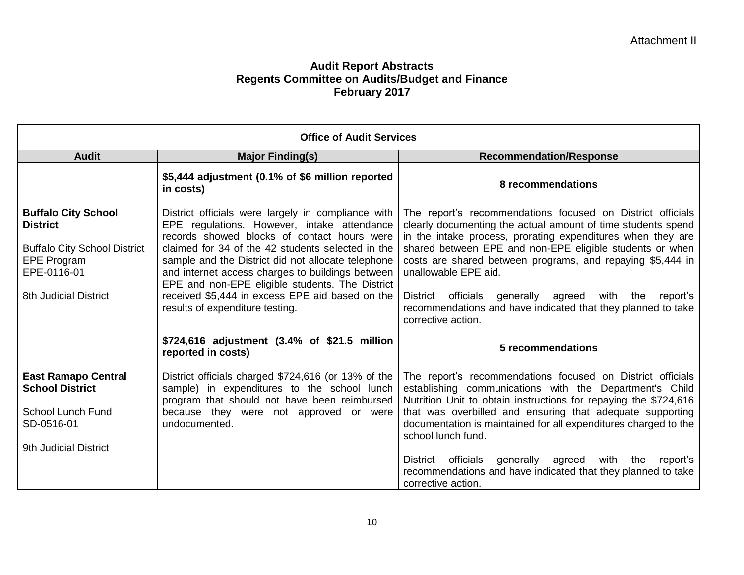|                                                                                                                                                    | <b>Office of Audit Services</b>                                                                                                                                                                                                                                                                                                                                                                                                                          |                                                                                                                                                                                                                                                                                                                                                                                                                                                                                               |
|----------------------------------------------------------------------------------------------------------------------------------------------------|----------------------------------------------------------------------------------------------------------------------------------------------------------------------------------------------------------------------------------------------------------------------------------------------------------------------------------------------------------------------------------------------------------------------------------------------------------|-----------------------------------------------------------------------------------------------------------------------------------------------------------------------------------------------------------------------------------------------------------------------------------------------------------------------------------------------------------------------------------------------------------------------------------------------------------------------------------------------|
| <b>Audit</b>                                                                                                                                       | <b>Major Finding(s)</b>                                                                                                                                                                                                                                                                                                                                                                                                                                  | <b>Recommendation/Response</b>                                                                                                                                                                                                                                                                                                                                                                                                                                                                |
|                                                                                                                                                    | \$5,444 adjustment (0.1% of \$6 million reported<br>in costs)                                                                                                                                                                                                                                                                                                                                                                                            | 8 recommendations                                                                                                                                                                                                                                                                                                                                                                                                                                                                             |
| <b>Buffalo City School</b><br><b>District</b><br><b>Buffalo City School District</b><br>EPE Program<br>EPE-0116-01<br><b>8th Judicial District</b> | District officials were largely in compliance with<br>EPE regulations. However, intake attendance<br>records showed blocks of contact hours were<br>claimed for 34 of the 42 students selected in the<br>sample and the District did not allocate telephone<br>and internet access charges to buildings between<br>EPE and non-EPE eligible students. The District<br>received \$5,444 in excess EPE aid based on the<br>results of expenditure testing. | The report's recommendations focused on District officials<br>clearly documenting the actual amount of time students spend<br>in the intake process, prorating expenditures when they are<br>shared between EPE and non-EPE eligible students or when<br>costs are shared between programs, and repaying \$5,444 in<br>unallowable EPE aid.<br>District officials generally agreed with the<br>report's<br>recommendations and have indicated that they planned to take<br>corrective action. |
|                                                                                                                                                    | \$724,616 adjustment (3.4% of \$21.5 million<br>reported in costs)                                                                                                                                                                                                                                                                                                                                                                                       | 5 recommendations                                                                                                                                                                                                                                                                                                                                                                                                                                                                             |
| <b>East Ramapo Central</b><br><b>School District</b><br>School Lunch Fund<br>SD-0516-01<br>9th Judicial District                                   | sample) in expenditures to the school lunch<br>program that should not have been reimbursed<br>because they were not approved or were<br>undocumented.                                                                                                                                                                                                                                                                                                   | District officials charged \$724,616 (or 13% of the   The report's recommendations focused on District officials<br>establishing communications with the Department's Child<br>Nutrition Unit to obtain instructions for repaying the \$724,616<br>that was overbilled and ensuring that adequate supporting<br>documentation is maintained for all expenditures charged to the<br>school lunch fund.                                                                                         |
|                                                                                                                                                    |                                                                                                                                                                                                                                                                                                                                                                                                                                                          | District officials generally agreed<br>with the<br>report's<br>recommendations and have indicated that they planned to take<br>corrective action.                                                                                                                                                                                                                                                                                                                                             |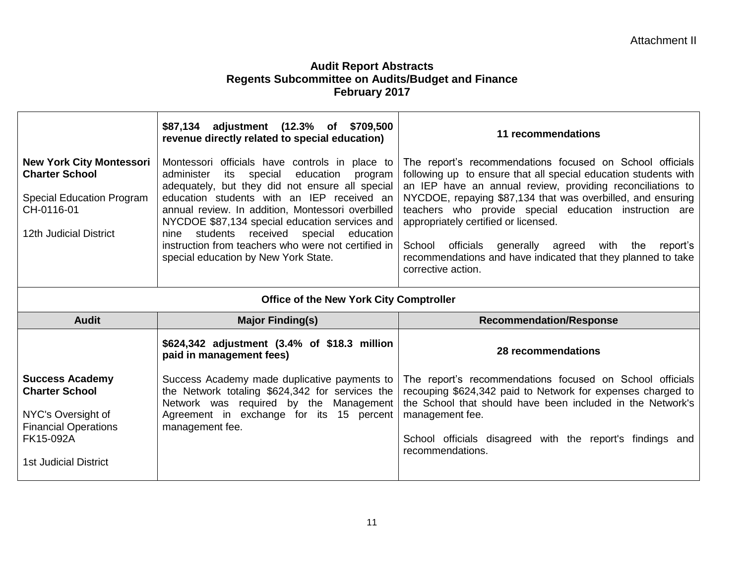|                                                                                                                                      | \$87,134 adjustment (12.3% of \$709,500<br>revenue directly related to special education)                                                                                                                                                                                                                                                                                                                                                                    | 11 recommendations                                                                                                                                                                                                                                                                                                                                                                                                                                                                                         |  |  |  |  |
|--------------------------------------------------------------------------------------------------------------------------------------|--------------------------------------------------------------------------------------------------------------------------------------------------------------------------------------------------------------------------------------------------------------------------------------------------------------------------------------------------------------------------------------------------------------------------------------------------------------|------------------------------------------------------------------------------------------------------------------------------------------------------------------------------------------------------------------------------------------------------------------------------------------------------------------------------------------------------------------------------------------------------------------------------------------------------------------------------------------------------------|--|--|--|--|
| <b>New York City Montessori</b><br><b>Charter School</b><br><b>Special Education Program</b><br>CH-0116-01<br>12th Judicial District | Montessori officials have controls in place to<br>education<br>administer<br>its<br>special<br>program<br>adequately, but they did not ensure all special<br>education students with an IEP received an<br>annual review. In addition, Montessori overbilled<br>NYCDOE \$87,134 special education services and<br>students received special education<br>nine<br>instruction from teachers who were not certified in<br>special education by New York State. | The report's recommendations focused on School officials<br>following up to ensure that all special education students with<br>an IEP have an annual review, providing reconciliations to<br>NYCDOE, repaying \$87,134 that was overbilled, and ensuring<br>teachers who provide special education instruction are<br>appropriately certified or licensed.<br>School officials generally agreed with the<br>report's<br>recommendations and have indicated that they planned to take<br>corrective action. |  |  |  |  |
|                                                                                                                                      | <b>Office of the New York City Comptroller</b>                                                                                                                                                                                                                                                                                                                                                                                                               |                                                                                                                                                                                                                                                                                                                                                                                                                                                                                                            |  |  |  |  |
|                                                                                                                                      |                                                                                                                                                                                                                                                                                                                                                                                                                                                              |                                                                                                                                                                                                                                                                                                                                                                                                                                                                                                            |  |  |  |  |
| <b>Audit</b>                                                                                                                         | <b>Major Finding(s)</b>                                                                                                                                                                                                                                                                                                                                                                                                                                      | <b>Recommendation/Response</b>                                                                                                                                                                                                                                                                                                                                                                                                                                                                             |  |  |  |  |
|                                                                                                                                      | \$624,342 adjustment (3.4% of \$18.3 million<br>paid in management fees)                                                                                                                                                                                                                                                                                                                                                                                     | 28 recommendations                                                                                                                                                                                                                                                                                                                                                                                                                                                                                         |  |  |  |  |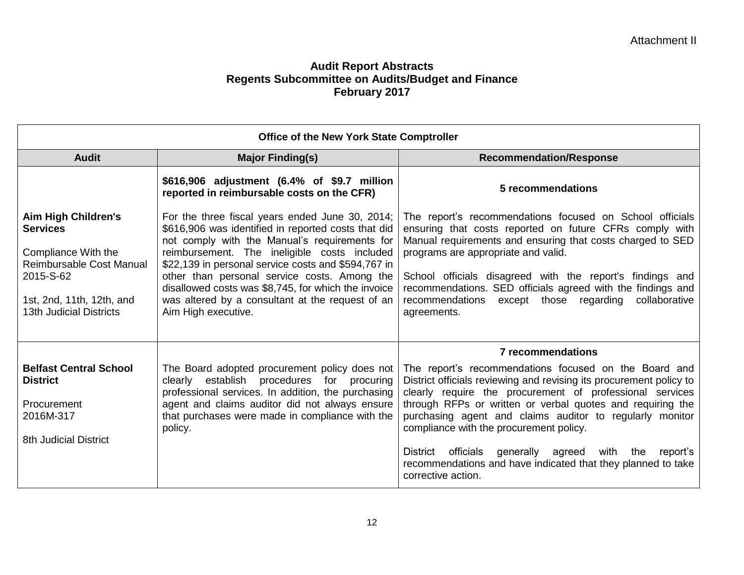|                                                                                                                                                                       | <b>Office of the New York State Comptroller</b>                                                                                                                                                                                                                                                                                                                                                                                                  |                                                                                                                                                                                                                                                                                                                                                                                                                                                                                                                          |
|-----------------------------------------------------------------------------------------------------------------------------------------------------------------------|--------------------------------------------------------------------------------------------------------------------------------------------------------------------------------------------------------------------------------------------------------------------------------------------------------------------------------------------------------------------------------------------------------------------------------------------------|--------------------------------------------------------------------------------------------------------------------------------------------------------------------------------------------------------------------------------------------------------------------------------------------------------------------------------------------------------------------------------------------------------------------------------------------------------------------------------------------------------------------------|
| <b>Audit</b>                                                                                                                                                          | <b>Major Finding(s)</b>                                                                                                                                                                                                                                                                                                                                                                                                                          | <b>Recommendation/Response</b>                                                                                                                                                                                                                                                                                                                                                                                                                                                                                           |
|                                                                                                                                                                       | \$616,906 adjustment (6.4% of \$9.7 million<br>reported in reimbursable costs on the CFR)                                                                                                                                                                                                                                                                                                                                                        | 5 recommendations                                                                                                                                                                                                                                                                                                                                                                                                                                                                                                        |
| Aim High Children's<br><b>Services</b><br>Compliance With the<br>Reimbursable Cost Manual<br>2015-S-62<br>1st, 2nd, 11th, 12th, and<br><b>13th Judicial Districts</b> | For the three fiscal years ended June 30, 2014;<br>\$616,906 was identified in reported costs that did<br>not comply with the Manual's requirements for<br>reimbursement. The ineligible costs included<br>\$22,139 in personal service costs and \$594,767 in<br>other than personal service costs. Among the<br>disallowed costs was \$8,745, for which the invoice<br>was altered by a consultant at the request of an<br>Aim High executive. | The report's recommendations focused on School officials<br>ensuring that costs reported on future CFRs comply with<br>Manual requirements and ensuring that costs charged to SED<br>programs are appropriate and valid.<br>School officials disagreed with the report's findings and<br>recommendations. SED officials agreed with the findings and<br>recommendations except those<br>regarding<br>collaborative<br>agreements.                                                                                        |
|                                                                                                                                                                       |                                                                                                                                                                                                                                                                                                                                                                                                                                                  | <b>7</b> recommendations                                                                                                                                                                                                                                                                                                                                                                                                                                                                                                 |
| <b>Belfast Central School</b><br><b>District</b><br>Procurement<br>2016M-317<br><b>8th Judicial District</b>                                                          | The Board adopted procurement policy does not<br>clearly establish procedures for procuring<br>professional services. In addition, the purchasing<br>agent and claims auditor did not always ensure<br>that purchases were made in compliance with the<br>policy.                                                                                                                                                                                | The report's recommendations focused on the Board and<br>District officials reviewing and revising its procurement policy to<br>clearly require the procurement of professional services<br>through RFPs or written or verbal quotes and requiring the<br>purchasing agent and claims auditor to regularly monitor<br>compliance with the procurement policy.<br>District officials<br>generally agreed<br>with<br>the<br>report's<br>recommendations and have indicated that they planned to take<br>corrective action. |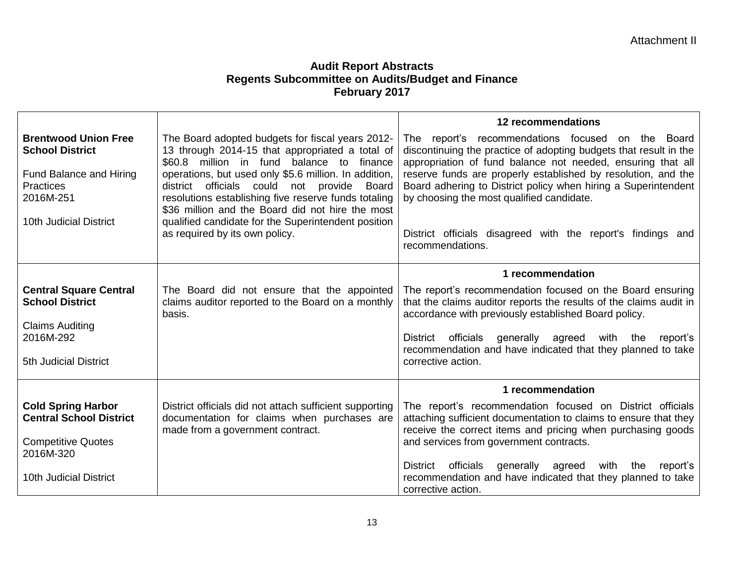|                                                                                                                                             |                                                                                                                                                                                                                                                                                                                                                                                                                                                                 | 12 recommendations                                                                                                                                                                                                                                                                                                                                                                                                                                       |
|---------------------------------------------------------------------------------------------------------------------------------------------|-----------------------------------------------------------------------------------------------------------------------------------------------------------------------------------------------------------------------------------------------------------------------------------------------------------------------------------------------------------------------------------------------------------------------------------------------------------------|----------------------------------------------------------------------------------------------------------------------------------------------------------------------------------------------------------------------------------------------------------------------------------------------------------------------------------------------------------------------------------------------------------------------------------------------------------|
| <b>Brentwood Union Free</b><br><b>School District</b><br>Fund Balance and Hiring<br><b>Practices</b><br>2016M-251<br>10th Judicial District | The Board adopted budgets for fiscal years 2012-<br>13 through 2014-15 that appropriated a total of<br>\$60.8 million in fund balance to finance<br>operations, but used only \$5.6 million. In addition,<br>district officials could not provide<br>Board<br>resolutions establishing five reserve funds totaling<br>\$36 million and the Board did not hire the most<br>qualified candidate for the Superintendent position<br>as required by its own policy. | The report's recommendations focused on the Board<br>discontinuing the practice of adopting budgets that result in the<br>appropriation of fund balance not needed, ensuring that all<br>reserve funds are properly established by resolution, and the<br>Board adhering to District policy when hiring a Superintendent<br>by choosing the most qualified candidate.<br>District officials disagreed with the report's findings and<br>recommendations. |
|                                                                                                                                             |                                                                                                                                                                                                                                                                                                                                                                                                                                                                 | 1 recommendation                                                                                                                                                                                                                                                                                                                                                                                                                                         |
| <b>Central Square Central</b><br><b>School District</b><br><b>Claims Auditing</b><br>2016M-292<br>5th Judicial District                     | The Board did not ensure that the appointed<br>claims auditor reported to the Board on a monthly<br>basis.                                                                                                                                                                                                                                                                                                                                                      | The report's recommendation focused on the Board ensuring<br>that the claims auditor reports the results of the claims audit in<br>accordance with previously established Board policy.<br>generally agreed with the<br>District officials<br>report's<br>recommendation and have indicated that they planned to take<br>corrective action.                                                                                                              |
|                                                                                                                                             |                                                                                                                                                                                                                                                                                                                                                                                                                                                                 | 1 recommendation                                                                                                                                                                                                                                                                                                                                                                                                                                         |
| <b>Cold Spring Harbor</b><br><b>Central School District</b><br><b>Competitive Quotes</b><br>2016M-320<br>10th Judicial District             | District officials did not attach sufficient supporting<br>documentation for claims when purchases are<br>made from a government contract.                                                                                                                                                                                                                                                                                                                      | The report's recommendation focused on District officials<br>attaching sufficient documentation to claims to ensure that they<br>receive the correct items and pricing when purchasing goods<br>and services from government contracts.<br>District officials generally agreed with<br>the<br>report's<br>recommendation and have indicated that they planned to take<br>corrective action.                                                              |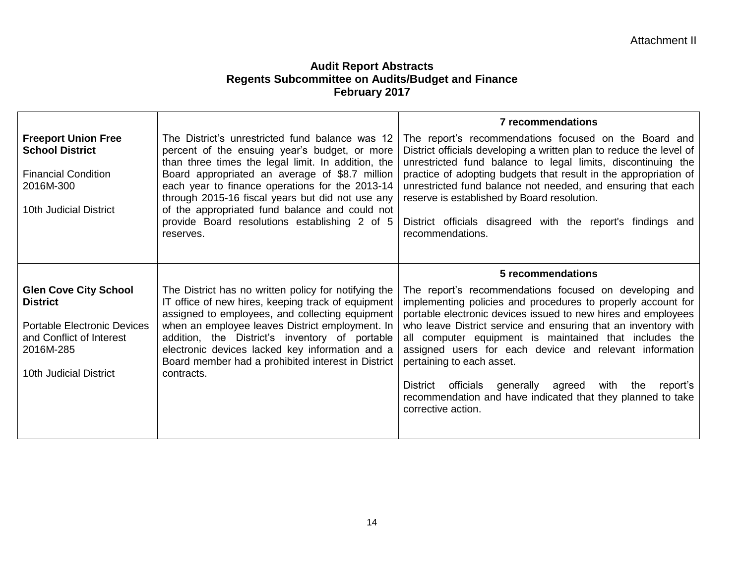|                                                                                                                                                          |                                                                                                                                                                                                                                                                                                                                                                                                                                 | <b>7 recommendations</b>                                                                                                                                                                                                                                                                                                                                                                                                                                                                                                                                           |
|----------------------------------------------------------------------------------------------------------------------------------------------------------|---------------------------------------------------------------------------------------------------------------------------------------------------------------------------------------------------------------------------------------------------------------------------------------------------------------------------------------------------------------------------------------------------------------------------------|--------------------------------------------------------------------------------------------------------------------------------------------------------------------------------------------------------------------------------------------------------------------------------------------------------------------------------------------------------------------------------------------------------------------------------------------------------------------------------------------------------------------------------------------------------------------|
| <b>Freeport Union Free</b><br><b>School District</b><br><b>Financial Condition</b><br>2016M-300<br>10th Judicial District                                | The District's unrestricted fund balance was 12<br>percent of the ensuing year's budget, or more<br>than three times the legal limit. In addition, the<br>Board appropriated an average of \$8.7 million<br>each year to finance operations for the 2013-14<br>through 2015-16 fiscal years but did not use any<br>of the appropriated fund balance and could not<br>provide Board resolutions establishing 2 of 5<br>reserves. | The report's recommendations focused on the Board and<br>District officials developing a written plan to reduce the level of<br>unrestricted fund balance to legal limits, discontinuing the<br>practice of adopting budgets that result in the appropriation of<br>unrestricted fund balance not needed, and ensuring that each<br>reserve is established by Board resolution.<br>District officials disagreed with the report's findings and<br>recommendations.                                                                                                 |
|                                                                                                                                                          |                                                                                                                                                                                                                                                                                                                                                                                                                                 | 5 recommendations                                                                                                                                                                                                                                                                                                                                                                                                                                                                                                                                                  |
| <b>Glen Cove City School</b><br><b>District</b><br><b>Portable Electronic Devices</b><br>and Conflict of Interest<br>2016M-285<br>10th Judicial District | The District has no written policy for notifying the<br>IT office of new hires, keeping track of equipment<br>assigned to employees, and collecting equipment<br>when an employee leaves District employment. In<br>addition, the District's inventory of portable<br>electronic devices lacked key information and a<br>Board member had a prohibited interest in District<br>contracts.                                       | The report's recommendations focused on developing and<br>implementing policies and procedures to properly account for<br>portable electronic devices issued to new hires and employees<br>who leave District service and ensuring that an inventory with<br>all computer equipment is maintained that includes the<br>assigned users for each device and relevant information<br>pertaining to each asset.<br>District officials<br>with the<br>generally agreed<br>report's<br>recommendation and have indicated that they planned to take<br>corrective action. |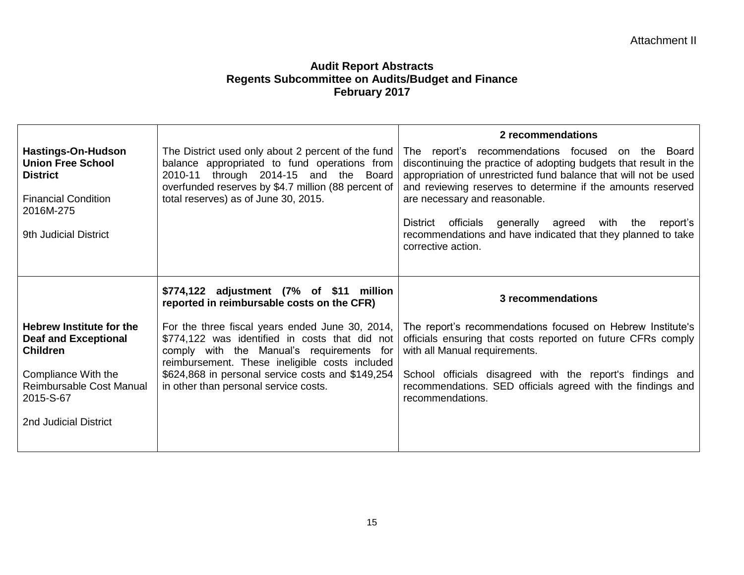|                                                                                                                                              |                                                                                                                                                                                                                                            | 2 recommendations                                                                                                                                                                                                                                                                                                                                                                                                                               |
|----------------------------------------------------------------------------------------------------------------------------------------------|--------------------------------------------------------------------------------------------------------------------------------------------------------------------------------------------------------------------------------------------|-------------------------------------------------------------------------------------------------------------------------------------------------------------------------------------------------------------------------------------------------------------------------------------------------------------------------------------------------------------------------------------------------------------------------------------------------|
| <b>Hastings-On-Hudson</b><br><b>Union Free School</b><br><b>District</b><br><b>Financial Condition</b><br>2016M-275<br>9th Judicial District | The District used only about 2 percent of the fund<br>balance appropriated to fund operations from<br>2010-11 through 2014-15 and the Board<br>overfunded reserves by \$4.7 million (88 percent of<br>total reserves) as of June 30, 2015. | The report's recommendations focused on the Board<br>discontinuing the practice of adopting budgets that result in the<br>appropriation of unrestricted fund balance that will not be used<br>and reviewing reserves to determine if the amounts reserved<br>are necessary and reasonable.<br>District officials generally agreed<br>with the<br>report's<br>recommendations and have indicated that they planned to take<br>corrective action. |
|                                                                                                                                              | \$774,122 adjustment (7% of \$11 million<br>reported in reimbursable costs on the CFR)                                                                                                                                                     | 3 recommendations                                                                                                                                                                                                                                                                                                                                                                                                                               |
| <b>Hebrew Institute for the</b><br><b>Deaf and Exceptional</b><br><b>Children</b>                                                            | For the three fiscal years ended June 30, 2014,<br>\$774,122 was identified in costs that did not<br>comply with the Manual's requirements for<br>reimbursement. These ineligible costs included                                           | The report's recommendations focused on Hebrew Institute's<br>officials ensuring that costs reported on future CFRs comply<br>with all Manual requirements.                                                                                                                                                                                                                                                                                     |
| Compliance With the<br>Reimbursable Cost Manual<br>2015-S-67                                                                                 | \$624,868 in personal service costs and \$149,254<br>in other than personal service costs.                                                                                                                                                 | School officials disagreed with the report's findings and<br>recommendations. SED officials agreed with the findings and<br>recommendations.                                                                                                                                                                                                                                                                                                    |
| 2nd Judicial District                                                                                                                        |                                                                                                                                                                                                                                            |                                                                                                                                                                                                                                                                                                                                                                                                                                                 |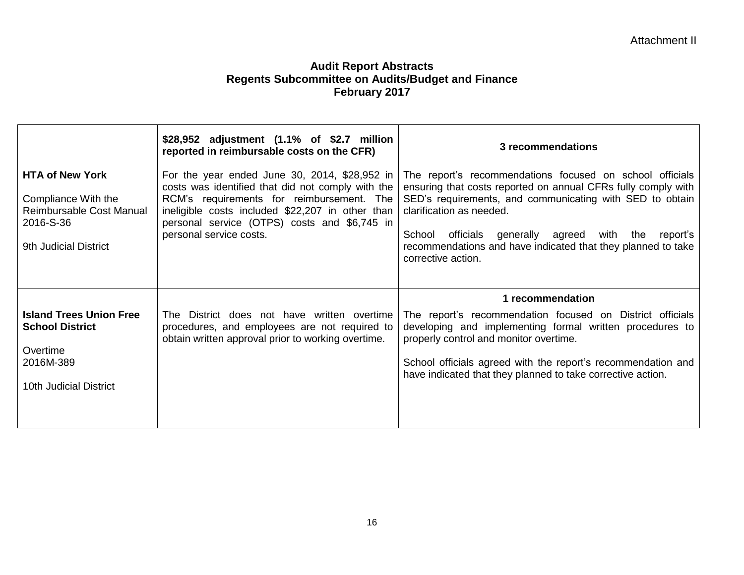|                                                                                                                 | \$28,952 adjustment (1.1% of \$2.7 million<br>reported in reimbursable costs on the CFR)                                                                                                                                                                                       | 3 recommendations                                                                                                                                                                                                                                                                                                                                                       |
|-----------------------------------------------------------------------------------------------------------------|--------------------------------------------------------------------------------------------------------------------------------------------------------------------------------------------------------------------------------------------------------------------------------|-------------------------------------------------------------------------------------------------------------------------------------------------------------------------------------------------------------------------------------------------------------------------------------------------------------------------------------------------------------------------|
| <b>HTA of New York</b><br>Compliance With the<br>Reimbursable Cost Manual<br>2016-S-36<br>9th Judicial District | For the year ended June 30, 2014, \$28,952 in<br>costs was identified that did not comply with the<br>RCM's requirements for reimbursement. The<br>ineligible costs included \$22,207 in other than<br>personal service (OTPS) costs and \$6,745 in<br>personal service costs. | The report's recommendations focused on school officials<br>ensuring that costs reported on annual CFRs fully comply with<br>SED's requirements, and communicating with SED to obtain<br>clarification as needed.<br>generally agreed with the<br>School<br>officials<br>report's<br>recommendations and have indicated that they planned to take<br>corrective action. |
|                                                                                                                 |                                                                                                                                                                                                                                                                                | 1 recommendation                                                                                                                                                                                                                                                                                                                                                        |
| <b>Island Trees Union Free</b><br><b>School District</b><br>Overtime<br>2016M-389<br>10th Judicial District     | The District does not have written overtime<br>procedures, and employees are not required to<br>obtain written approval prior to working overtime.                                                                                                                             | The report's recommendation focused on District officials<br>developing and implementing formal written procedures to<br>properly control and monitor overtime.<br>School officials agreed with the report's recommendation and<br>have indicated that they planned to take corrective action.                                                                          |
|                                                                                                                 |                                                                                                                                                                                                                                                                                |                                                                                                                                                                                                                                                                                                                                                                         |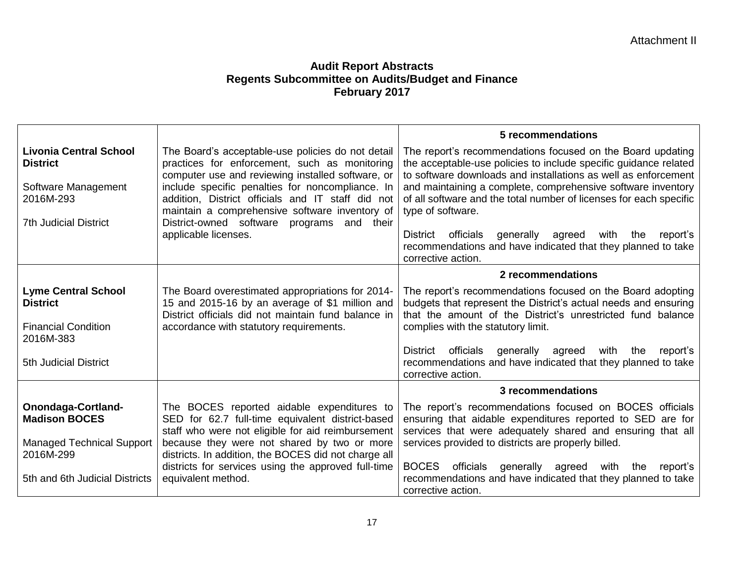|                                                                                                                      |                                                                                                                                                                                                                                                                                                                                                                        | 5 recommendations                                                                                                                                                                                                                                                                                                                                           |
|----------------------------------------------------------------------------------------------------------------------|------------------------------------------------------------------------------------------------------------------------------------------------------------------------------------------------------------------------------------------------------------------------------------------------------------------------------------------------------------------------|-------------------------------------------------------------------------------------------------------------------------------------------------------------------------------------------------------------------------------------------------------------------------------------------------------------------------------------------------------------|
| <b>Livonia Central School</b><br><b>District</b><br>Software Management<br>2016M-293<br><b>7th Judicial District</b> | The Board's acceptable-use policies do not detail<br>practices for enforcement, such as monitoring<br>computer use and reviewing installed software, or<br>include specific penalties for noncompliance. In<br>addition, District officials and IT staff did not<br>maintain a comprehensive software inventory of<br>District-owned software<br>programs<br>and their | The report's recommendations focused on the Board updating<br>the acceptable-use policies to include specific guidance related<br>to software downloads and installations as well as enforcement<br>and maintaining a complete, comprehensive software inventory<br>of all software and the total number of licenses for each specific<br>type of software. |
|                                                                                                                      | applicable licenses.                                                                                                                                                                                                                                                                                                                                                   | officials<br>generally agreed<br>with<br>District<br>the<br>report's<br>recommendations and have indicated that they planned to take<br>corrective action.                                                                                                                                                                                                  |
|                                                                                                                      |                                                                                                                                                                                                                                                                                                                                                                        | 2 recommendations                                                                                                                                                                                                                                                                                                                                           |
| <b>Lyme Central School</b><br><b>District</b><br><b>Financial Condition</b><br>2016M-383                             | The Board overestimated appropriations for 2014-<br>15 and 2015-16 by an average of \$1 million and<br>District officials did not maintain fund balance in<br>accordance with statutory requirements.                                                                                                                                                                  | The report's recommendations focused on the Board adopting<br>budgets that represent the District's actual needs and ensuring<br>that the amount of the District's unrestricted fund balance<br>complies with the statutory limit.                                                                                                                          |
| <b>5th Judicial District</b>                                                                                         |                                                                                                                                                                                                                                                                                                                                                                        | officials<br>generally agreed<br>with<br>District<br>the<br>report's<br>recommendations and have indicated that they planned to take<br>corrective action.                                                                                                                                                                                                  |
|                                                                                                                      |                                                                                                                                                                                                                                                                                                                                                                        | 3 recommendations                                                                                                                                                                                                                                                                                                                                           |
| Onondaga-Cortland-<br><b>Madison BOCES</b>                                                                           | The BOCES reported aidable expenditures to<br>SED for 62.7 full-time equivalent district-based<br>staff who were not eligible for aid reimbursement                                                                                                                                                                                                                    | The report's recommendations focused on BOCES officials<br>ensuring that aidable expenditures reported to SED are for<br>services that were adequately shared and ensuring that all                                                                                                                                                                         |
| <b>Managed Technical Support</b><br>2016M-299                                                                        | because they were not shared by two or more<br>districts. In addition, the BOCES did not charge all                                                                                                                                                                                                                                                                    | services provided to districts are properly billed.                                                                                                                                                                                                                                                                                                         |
| 5th and 6th Judicial Districts                                                                                       | districts for services using the approved full-time<br>equivalent method.                                                                                                                                                                                                                                                                                              | <b>BOCES</b><br>officials<br>generally<br>agreed<br>with<br>the<br>report's<br>recommendations and have indicated that they planned to take<br>corrective action.                                                                                                                                                                                           |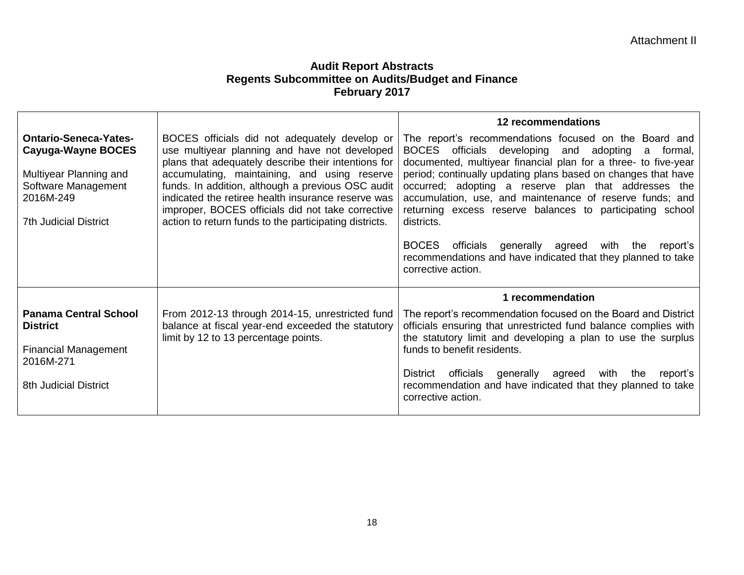|                                                                                                                                                         |                                                                                                                                                                                                                                                                                                                                                                                                                                 | 12 recommendations                                                                                                                                                                                                                                                                                                                                                                                                                                       |
|---------------------------------------------------------------------------------------------------------------------------------------------------------|---------------------------------------------------------------------------------------------------------------------------------------------------------------------------------------------------------------------------------------------------------------------------------------------------------------------------------------------------------------------------------------------------------------------------------|----------------------------------------------------------------------------------------------------------------------------------------------------------------------------------------------------------------------------------------------------------------------------------------------------------------------------------------------------------------------------------------------------------------------------------------------------------|
| <b>Ontario-Seneca-Yates-</b><br><b>Cayuga-Wayne BOCES</b><br>Multiyear Planning and<br>Software Management<br>2016M-249<br><b>7th Judicial District</b> | BOCES officials did not adequately develop or<br>use multiyear planning and have not developed<br>plans that adequately describe their intentions for<br>accumulating, maintaining, and using reserve<br>funds. In addition, although a previous OSC audit<br>indicated the retiree health insurance reserve was<br>improper, BOCES officials did not take corrective<br>action to return funds to the participating districts. | The report's recommendations focused on the Board and<br>BOCES officials<br>developing<br>and adopting<br>formal,<br>a<br>documented, multiyear financial plan for a three- to five-year<br>period; continually updating plans based on changes that have<br>occurred; adopting a reserve plan that addresses the<br>accumulation, use, and maintenance of reserve funds; and<br>returning excess reserve balances to participating school<br>districts. |
|                                                                                                                                                         |                                                                                                                                                                                                                                                                                                                                                                                                                                 | <b>BOCES</b><br>officials<br>generally agreed<br>with<br>the<br>report's<br>recommendations and have indicated that they planned to take<br>corrective action.                                                                                                                                                                                                                                                                                           |
|                                                                                                                                                         |                                                                                                                                                                                                                                                                                                                                                                                                                                 | 1 recommendation                                                                                                                                                                                                                                                                                                                                                                                                                                         |
| <b>Panama Central School</b><br><b>District</b><br><b>Financial Management</b><br>2016M-271<br><b>8th Judicial District</b>                             | From 2012-13 through 2014-15, unrestricted fund<br>balance at fiscal year-end exceeded the statutory<br>limit by 12 to 13 percentage points.                                                                                                                                                                                                                                                                                    | The report's recommendation focused on the Board and District<br>officials ensuring that unrestricted fund balance complies with<br>the statutory limit and developing a plan to use the surplus<br>funds to benefit residents.<br>officials<br>District<br>generally agreed<br>with<br>the<br>report's<br>recommendation and have indicated that they planned to take<br>corrective action.                                                             |
|                                                                                                                                                         |                                                                                                                                                                                                                                                                                                                                                                                                                                 |                                                                                                                                                                                                                                                                                                                                                                                                                                                          |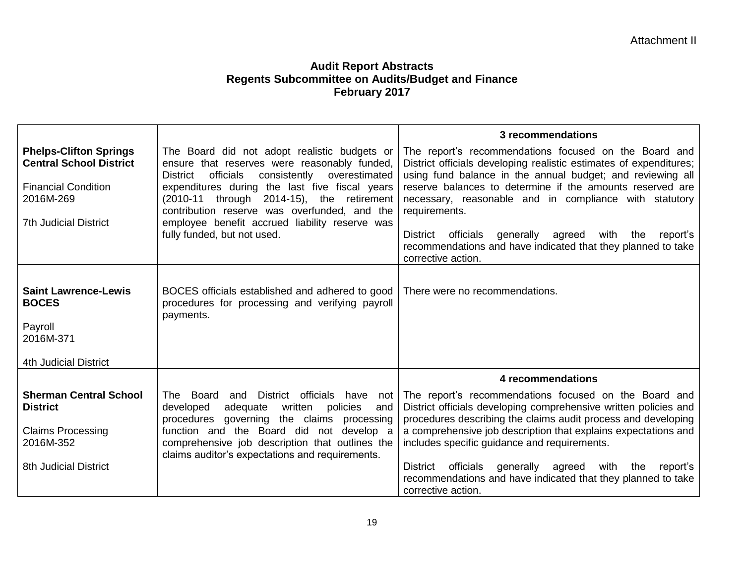|                                                                                                                                            |                                                                                                                                                                                                                                                                                                                                                                                               | 3 recommendations                                                                                                                                                                                                                                                                                                                                                                                                                                                                                  |
|--------------------------------------------------------------------------------------------------------------------------------------------|-----------------------------------------------------------------------------------------------------------------------------------------------------------------------------------------------------------------------------------------------------------------------------------------------------------------------------------------------------------------------------------------------|----------------------------------------------------------------------------------------------------------------------------------------------------------------------------------------------------------------------------------------------------------------------------------------------------------------------------------------------------------------------------------------------------------------------------------------------------------------------------------------------------|
| <b>Phelps-Clifton Springs</b><br><b>Central School District</b><br><b>Financial Condition</b><br>2016M-269<br><b>7th Judicial District</b> | The Board did not adopt realistic budgets or<br>ensure that reserves were reasonably funded,<br>officials<br>consistently<br>overestimated<br><b>District</b><br>expenditures during the last five fiscal years<br>(2010-11 through 2014-15), the retirement<br>contribution reserve was overfunded, and the<br>employee benefit accrued liability reserve was<br>fully funded, but not used. | The report's recommendations focused on the Board and<br>District officials developing realistic estimates of expenditures;<br>using fund balance in the annual budget; and reviewing all<br>reserve balances to determine if the amounts reserved are<br>necessary, reasonable and in compliance with statutory<br>requirements.<br>officials<br>generally<br>with<br>District<br>agreed<br>the<br>report's<br>recommendations and have indicated that they planned to take<br>corrective action. |
| <b>Saint Lawrence-Lewis</b><br><b>BOCES</b><br>Payroll<br>2016M-371<br><b>4th Judicial District</b>                                        | BOCES officials established and adhered to good<br>procedures for processing and verifying payroll<br>payments.                                                                                                                                                                                                                                                                               | There were no recommendations.                                                                                                                                                                                                                                                                                                                                                                                                                                                                     |
|                                                                                                                                            |                                                                                                                                                                                                                                                                                                                                                                                               | 4 recommendations                                                                                                                                                                                                                                                                                                                                                                                                                                                                                  |
| <b>Sherman Central School</b><br><b>District</b><br><b>Claims Processing</b><br>2016M-352<br><b>8th Judicial District</b>                  | officials<br>The Board<br>and District<br>have<br>not<br>written<br>developed<br>adequate<br>policies<br>and<br>procedures governing the claims processing<br>function and the Board did not develop a<br>comprehensive job description that outlines the<br>claims auditor's expectations and requirements.                                                                                  | The report's recommendations focused on the Board and<br>District officials developing comprehensive written policies and<br>procedures describing the claims audit process and developing<br>a comprehensive job description that explains expectations and<br>includes specific guidance and requirements.<br>District officials generally agreed with<br>the<br>report's<br>recommendations and have indicated that they planned to take<br>corrective action.                                  |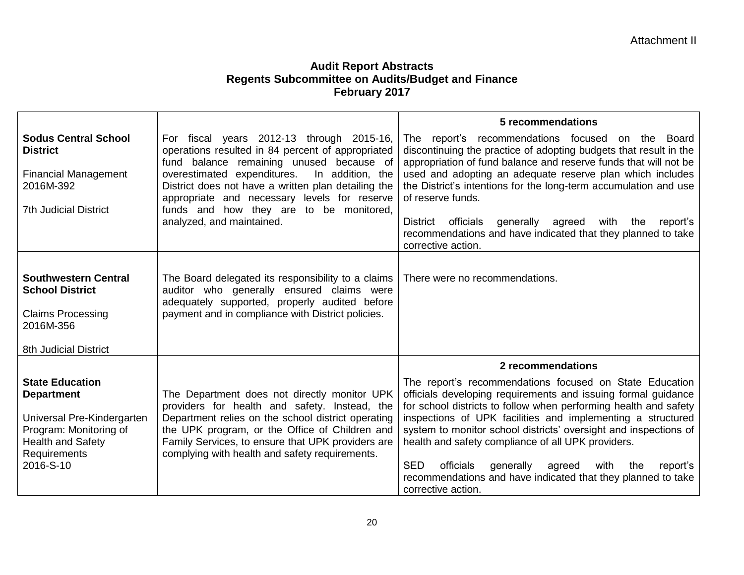|                                                                                                                                                              |                                                                                                                                                                                                                                                                                                                                                                              | 5 recommendations                                                                                                                                                                                                                                                                                                                                                                                                                                                                                                                                                             |
|--------------------------------------------------------------------------------------------------------------------------------------------------------------|------------------------------------------------------------------------------------------------------------------------------------------------------------------------------------------------------------------------------------------------------------------------------------------------------------------------------------------------------------------------------|-------------------------------------------------------------------------------------------------------------------------------------------------------------------------------------------------------------------------------------------------------------------------------------------------------------------------------------------------------------------------------------------------------------------------------------------------------------------------------------------------------------------------------------------------------------------------------|
| <b>Sodus Central School</b><br><b>District</b><br><b>Financial Management</b><br>2016M-392<br><b>7th Judicial District</b>                                   | For fiscal years 2012-13 through 2015-16,<br>operations resulted in 84 percent of appropriated<br>fund balance remaining unused because of<br>overestimated expenditures.<br>In addition, the<br>District does not have a written plan detailing the<br>appropriate and necessary levels for reserve<br>funds and how they are to be monitored,<br>analyzed, and maintained. | The report's recommendations focused on the Board<br>discontinuing the practice of adopting budgets that result in the<br>appropriation of fund balance and reserve funds that will not be<br>used and adopting an adequate reserve plan which includes<br>the District's intentions for the long-term accumulation and use<br>of reserve funds.<br>generally agreed<br>District<br>officials<br>with<br>the<br>report's<br>recommendations and have indicated that they planned to take<br>corrective action.                                                                |
| <b>Southwestern Central</b><br><b>School District</b><br><b>Claims Processing</b><br>2016M-356<br>8th Judicial District                                      | The Board delegated its responsibility to a claims<br>auditor who generally ensured claims were<br>adequately supported, properly audited before<br>payment and in compliance with District policies.                                                                                                                                                                        | There were no recommendations.                                                                                                                                                                                                                                                                                                                                                                                                                                                                                                                                                |
| <b>State Education</b><br><b>Department</b><br>Universal Pre-Kindergarten<br>Program: Monitoring of<br><b>Health and Safety</b><br>Requirements<br>2016-S-10 | The Department does not directly monitor UPK<br>providers for health and safety. Instead, the<br>Department relies on the school district operating<br>the UPK program, or the Office of Children and<br>Family Services, to ensure that UPK providers are<br>complying with health and safety requirements.                                                                 | 2 recommendations<br>The report's recommendations focused on State Education<br>officials developing requirements and issuing formal guidance<br>for school districts to follow when performing health and safety<br>inspections of UPK facilities and implementing a structured<br>system to monitor school districts' oversight and inspections of<br>health and safety compliance of all UPK providers.<br><b>SED</b><br>generally<br>officials<br>agreed<br>with<br>the<br>report's<br>recommendations and have indicated that they planned to take<br>corrective action. |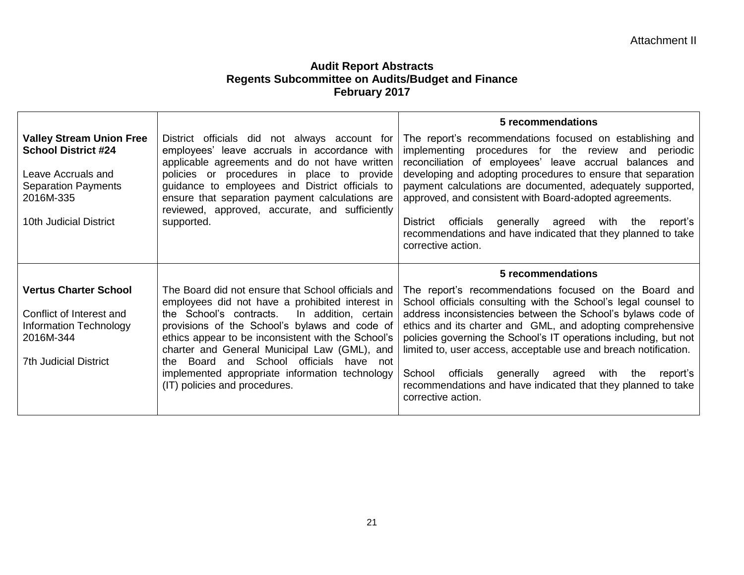|                                                                                                                                                          |                                                                                                                                                                                                                                                                                                                                                                                                                                                    | 5 recommendations                                                                                                                                                                                                                                                                                                                                                                                                                                                                                                                               |
|----------------------------------------------------------------------------------------------------------------------------------------------------------|----------------------------------------------------------------------------------------------------------------------------------------------------------------------------------------------------------------------------------------------------------------------------------------------------------------------------------------------------------------------------------------------------------------------------------------------------|-------------------------------------------------------------------------------------------------------------------------------------------------------------------------------------------------------------------------------------------------------------------------------------------------------------------------------------------------------------------------------------------------------------------------------------------------------------------------------------------------------------------------------------------------|
| <b>Valley Stream Union Free</b><br><b>School District #24</b><br>Leave Accruals and<br><b>Separation Payments</b><br>2016M-335<br>10th Judicial District | District officials did not always account for<br>employees' leave accruals in accordance with<br>applicable agreements and do not have written<br>policies or procedures in place to provide<br>guidance to employees and District officials to<br>ensure that separation payment calculations are<br>reviewed, approved, accurate, and sufficiently<br>supported.                                                                                 | The report's recommendations focused on establishing and<br>implementing procedures for the review and periodic<br>reconciliation of employees' leave accrual balances and<br>developing and adopting procedures to ensure that separation<br>payment calculations are documented, adequately supported,<br>approved, and consistent with Board-adopted agreements.<br>District<br>officials<br>generally agreed<br>with<br>the<br>report's<br>recommendations and have indicated that they planned to take<br>corrective action.               |
|                                                                                                                                                          |                                                                                                                                                                                                                                                                                                                                                                                                                                                    | 5 recommendations                                                                                                                                                                                                                                                                                                                                                                                                                                                                                                                               |
| <b>Vertus Charter School</b><br>Conflict of Interest and<br>Information Technology<br>2016M-344<br><b>7th Judicial District</b>                          | The Board did not ensure that School officials and<br>employees did not have a prohibited interest in<br>the School's contracts.<br>In addition, certain<br>provisions of the School's bylaws and code of<br>ethics appear to be inconsistent with the School's<br>charter and General Municipal Law (GML), and<br>Board and School officials have not<br>the l<br>implemented appropriate information technology<br>(IT) policies and procedures. | The report's recommendations focused on the Board and<br>School officials consulting with the School's legal counsel to<br>address inconsistencies between the School's bylaws code of<br>ethics and its charter and GML, and adopting comprehensive<br>policies governing the School's IT operations including, but not<br>limited to, user access, acceptable use and breach notification.<br>School officials generally agreed<br>with the<br>report's<br>recommendations and have indicated that they planned to take<br>corrective action. |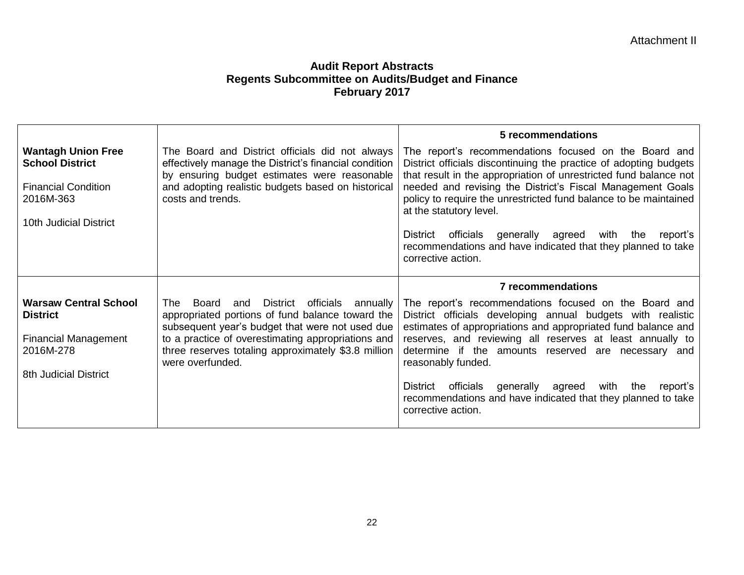|                                                                                                                             |                                                                                                                                                                                                                                                                                            | 5 recommendations                                                                                                                                                                                                                                                                                                                                                                                                                                                                                                       |
|-----------------------------------------------------------------------------------------------------------------------------|--------------------------------------------------------------------------------------------------------------------------------------------------------------------------------------------------------------------------------------------------------------------------------------------|-------------------------------------------------------------------------------------------------------------------------------------------------------------------------------------------------------------------------------------------------------------------------------------------------------------------------------------------------------------------------------------------------------------------------------------------------------------------------------------------------------------------------|
| <b>Wantagh Union Free</b><br><b>School District</b><br><b>Financial Condition</b><br>2016M-363<br>10th Judicial District    | The Board and District officials did not always<br>effectively manage the District's financial condition<br>by ensuring budget estimates were reasonable<br>and adopting realistic budgets based on historical<br>costs and trends.                                                        | The report's recommendations focused on the Board and<br>District officials discontinuing the practice of adopting budgets<br>that result in the appropriation of unrestricted fund balance not<br>needed and revising the District's Fiscal Management Goals<br>policy to require the unrestricted fund balance to be maintained<br>at the statutory level.<br>officials generally agreed<br>with<br>District<br>the<br>report's<br>recommendations and have indicated that they planned to take<br>corrective action. |
|                                                                                                                             |                                                                                                                                                                                                                                                                                            |                                                                                                                                                                                                                                                                                                                                                                                                                                                                                                                         |
|                                                                                                                             |                                                                                                                                                                                                                                                                                            |                                                                                                                                                                                                                                                                                                                                                                                                                                                                                                                         |
| <b>Warsaw Central School</b><br><b>District</b><br><b>Financial Management</b><br>2016M-278<br><b>8th Judicial District</b> | and District officials<br>Board<br>The<br>annually<br>appropriated portions of fund balance toward the<br>subsequent year's budget that were not used due<br>to a practice of overestimating appropriations and<br>three reserves totaling approximately \$3.8 million<br>were overfunded. | 7 recommendations<br>The report's recommendations focused on the Board and<br>District officials developing annual budgets with realistic<br>estimates of appropriations and appropriated fund balance and<br>reserves, and reviewing all reserves at least annually to<br>determine if the amounts reserved are necessary and<br>reasonably funded.                                                                                                                                                                    |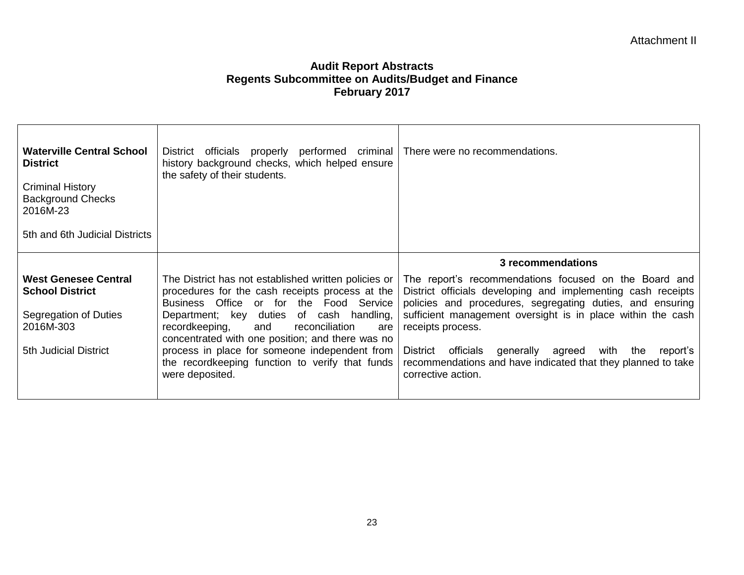| <b>Waterville Central School</b><br><b>District</b><br><b>Criminal History</b><br><b>Background Checks</b><br>2016M-23<br>5th and 6th Judicial Districts | District officials properly performed criminal   There were no recommendations.<br>history background checks, which helped ensure<br>the safety of their students. |                                                                                                                                                                                    |
|----------------------------------------------------------------------------------------------------------------------------------------------------------|--------------------------------------------------------------------------------------------------------------------------------------------------------------------|------------------------------------------------------------------------------------------------------------------------------------------------------------------------------------|
|                                                                                                                                                          |                                                                                                                                                                    | 3 recommendations                                                                                                                                                                  |
| West Genesee Central<br><b>School District</b>                                                                                                           | The District has not established written policies or<br>procedures for the cash receipts process at the<br>Business Office or for the Food Service                 | The report's recommendations focused on the Board and<br>District officials developing and implementing cash receipts<br>policies and procedures, segregating duties, and ensuring |
| Segregation of Duties<br>2016M-303                                                                                                                       | Department; key duties of cash handling,<br>recordkeeping,<br>and<br>reconciliation<br>are<br>concentrated with one position; and there was no                     | sufficient management oversight is in place within the cash<br>receipts process.                                                                                                   |
| 5th Judicial District                                                                                                                                    | process in place for someone independent from<br>the recordkeeping function to verify that funds<br>were deposited.                                                | officials generally agreed<br>with<br>District<br>the<br>report's<br>recommendations and have indicated that they planned to take<br>corrective action.                            |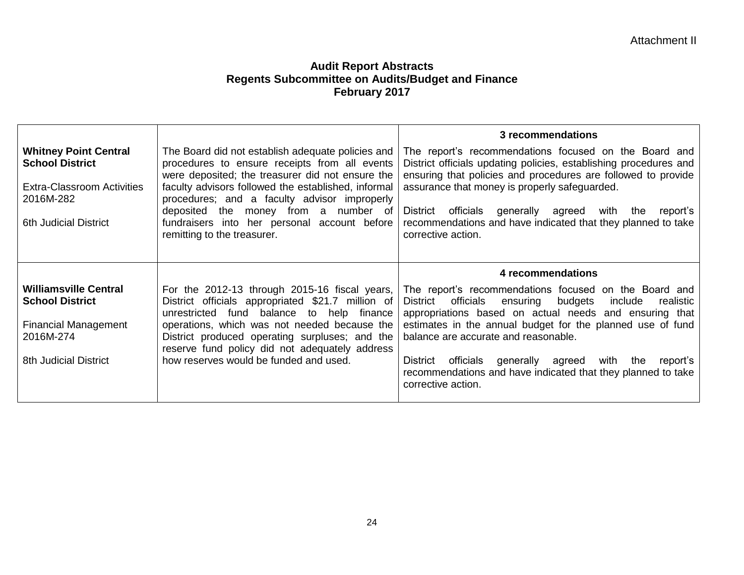| <b>Whitney Point Central</b><br><b>School District</b><br><b>Extra-Classroom Activities</b><br>2016M-282<br><b>6th Judicial District</b> | The Board did not establish adequate policies and<br>procedures to ensure receipts from all events<br>were deposited; the treasurer did not ensure the<br>faculty advisors followed the established, informal<br>procedures; and a faculty advisor improperly<br>deposited the money from a number of<br>fundraisers into her personal account before<br>remitting to the treasurer. | 3 recommendations<br>The report's recommendations focused on the Board and<br>District officials updating policies, establishing procedures and<br>ensuring that policies and procedures are followed to provide<br>assurance that money is properly safeguarded.<br>District<br>officials<br>generally agreed<br>with<br>the<br>report's<br>recommendations and have indicated that they planned to take<br>corrective action.                                                         |
|------------------------------------------------------------------------------------------------------------------------------------------|--------------------------------------------------------------------------------------------------------------------------------------------------------------------------------------------------------------------------------------------------------------------------------------------------------------------------------------------------------------------------------------|-----------------------------------------------------------------------------------------------------------------------------------------------------------------------------------------------------------------------------------------------------------------------------------------------------------------------------------------------------------------------------------------------------------------------------------------------------------------------------------------|
| <b>Williamsville Central</b><br><b>School District</b><br><b>Financial Management</b><br>2016M-274<br><b>8th Judicial District</b>       | For the 2012-13 through 2015-16 fiscal years,<br>District officials appropriated \$21.7 million of<br>balance to help<br>unrestricted fund<br>finance<br>operations, which was not needed because the<br>District produced operating surpluses; and the<br>reserve fund policy did not adequately address<br>how reserves would be funded and used.                                  | 4 recommendations<br>The report's recommendations focused on the Board and<br>officials<br>ensuring<br>budgets<br>include<br><b>District</b><br>realistic<br>appropriations based on actual needs and ensuring that<br>estimates in the annual budget for the planned use of fund<br>balance are accurate and reasonable.<br>District<br>officials<br>generally agreed<br>with<br>the<br>report's<br>recommendations and have indicated that they planned to take<br>corrective action. |